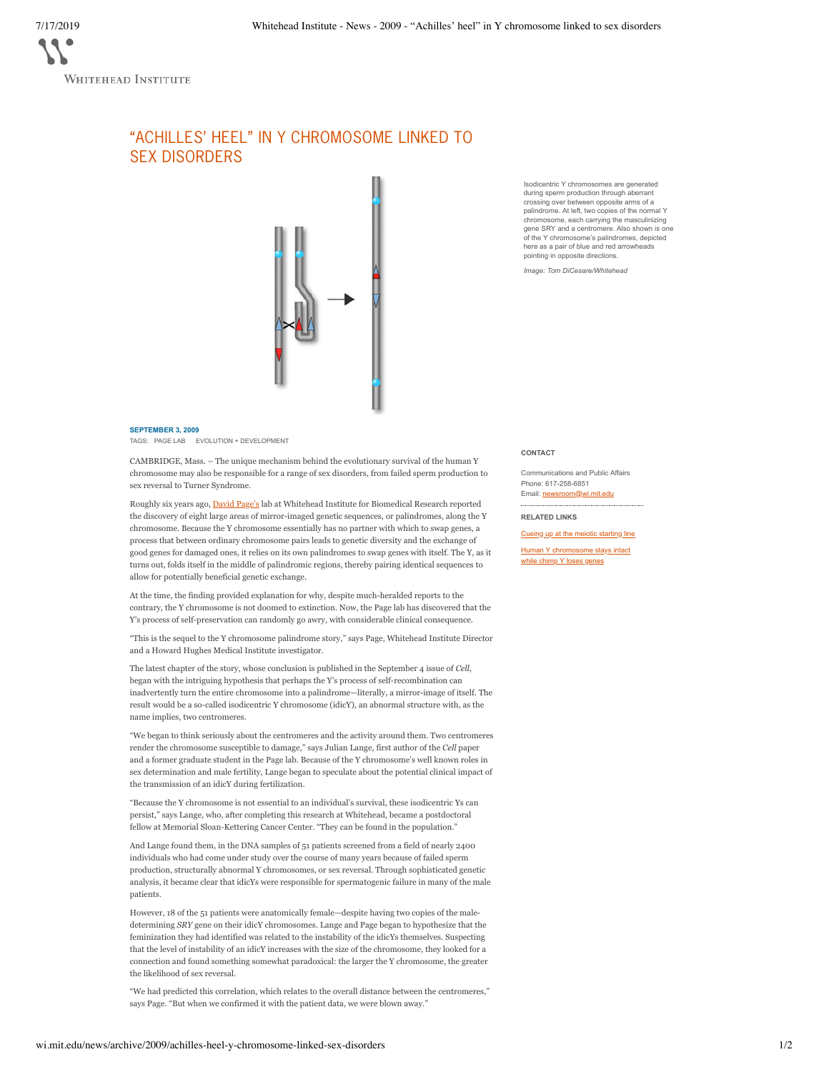## "ACHILLES' HEEL" IN Y CHROMOSOME LINKED TO SEX DISORDERS



## **SEPTEMBER 3, 2009**

TAGS: PAGE LAB EVOLUTION + DEVELOPMENT

CAMBRIDGE, Mass. – The unique mechanism behind the evolutionary survival of the human Y chromosome may also be responsible for a range of sex disorders, from failed sperm production to sex reversal to Turner Syndrome.

Roughly six years ago, David Page's lab at Whitehead Institute for Biomedical Research reported the discovery of eight large areas of mirror-imaged genetic sequences, or palindromes, along the Y chromosome. Because the Y chromosome essentially has no partner with which to swap genes, a process that between ordinary chromosome pairs leads to genetic diversity and the exchange of good genes for damaged ones, it relies on its own palindromes to swap genes with itself. The Y, as it turns out, folds itself in the middle of palindromic regions, thereby pairing identical sequences to allow for potentially beneficial genetic exchange.

At the time, the finding provided explanation for why, despite much-heralded reports to the contrary, the Y chromosome is not doomed to extinction. Now, the Page lab has discovered that the Y's process of self-preservation can randomly go awry, with considerable clinical consequence.

"This is the sequel to the Y chromosome palindrome story," says Page, Whitehead Institute Director and a Howard Hughes Medical Institute investigator.

The latest chapter of the story, whose conclusion is published in the September 4 issue of *Cell*, began with the intriguing hypothesis that perhaps the Y's process of self-recombination can inadvertently turn the entire chromosome into a palindrome—literally, a mirror-image of itself. The result would be a so-called isodicentric Y chromosome (idicY), an abnormal structure with, as the name implies, two centromeres.

"We began to think seriously about the centromeres and the activity around them. Two centromeres render the chromosome susceptible to damage," says Julian Lange, first author of the *Cell* paper and a former graduate student in the Page lab. Because of the Y chromosome's well known roles in sex determination and male fertility, Lange began to speculate about the potential clinical impact of the transmission of an idicY during fertilization.

"Because the Y chromosome is not essential to an individual's survival, these isodicentric Ys can persist," says Lange, who, after completing this research at Whitehead, became a postdoctoral fellow at Memorial Sloan-Kettering Cancer Center. "They can be found in the population."

And Lange found them, in the DNA samples of 51 patients screened from a field of nearly 2400 individuals who had come under study over the course of many years because of failed sperm production, structurally abnormal Y chromosomes, or sex reversal. Through sophisticated genetic analysis, it became clear that idicYs were responsible for spermatogenic failure in many of the male patients.

However, 18 of the 51 patients were anatomically female—despite having two copies of the maledetermining *SRY* gene on their idicY chromosomes. Lange and Page began to hypothesize that the feminization they had identified was related to the instability of the idicYs themselves. Suspecting that the level of instability of an idicY increases with the size of the chromosome, they looked for a connection and found something somewhat paradoxical: the larger the Y chromosome, the greater the likelihood of sex reversal.

"We had predicted this correlation, which relates to the overall distance between the centromeres," says Page. "But when we confirmed it with the patient data, we were blown away."

Isodicentric Y chromosomes are generated during sperm production through aberrant crossing over between opposite arms of a palindrome. At left, two copies of the normal Y chromosome, each carrying the masculinizing gene SRY and a centromere. Also shown is one of the Y chromosome's palindromes, depicted here as a pair of blue and red arrowheads pointing in opposite directions.

*Image: Tom DiCesare/Whitehead*

## **CONTACT**

Communications and Public Affairs Phone: 617-258-6851 Email: newsroom@wi.mit.edu

**RELATED LINKS**

Cueing up at the meiotic starting line

Human Y chromosome stays intact while chimp Y loses genes